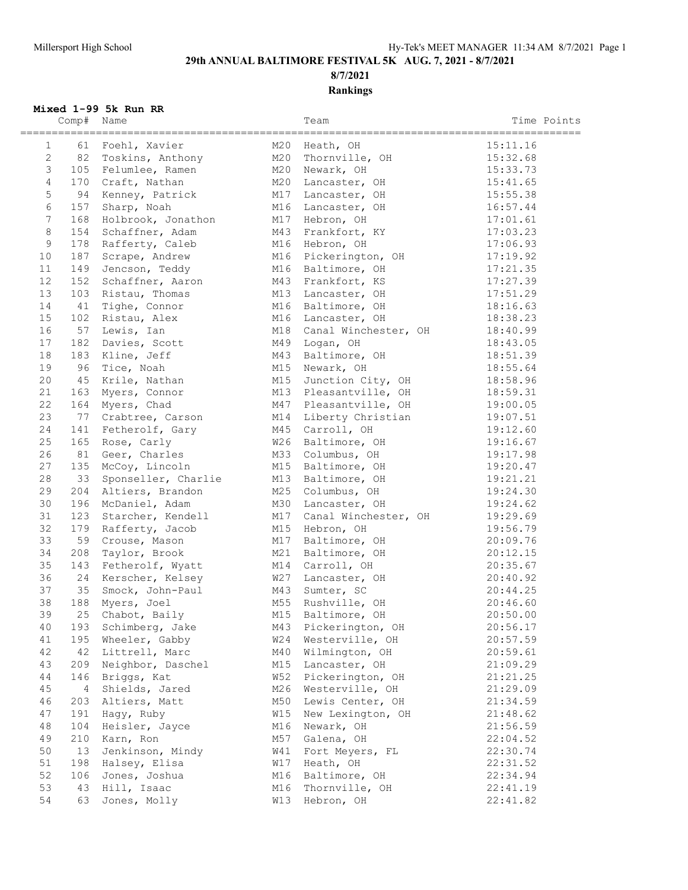**8/7/2021 Rankings**

### **Mixed 1-99 5k Run RR**

|                 | Comp# | Name                |     | Team                 | Time Points            |
|-----------------|-------|---------------------|-----|----------------------|------------------------|
| $\mathbf{1}$    | 61    | Foehl, Xavier       | M20 | Heath, OH            | ==========<br>15:11.16 |
| $\overline{2}$  |       | 82 Toskins, Anthony | M20 | Thornville, OH       | 15:32.68               |
| $\mathfrak{Z}$  |       | 105 Felumlee, Ramen | M20 | Newark, OH           | 15:33.73               |
| $\overline{4}$  |       | 170 Craft, Nathan   | M20 | Lancaster, OH        | 15:41.65               |
| 5               | 94    | Kenney, Patrick     | M17 | Lancaster, OH        | 15:55.38               |
| $\sqrt{6}$      | 157   | Sharp, Noah         | M16 | Lancaster, OH        | 16:57.44               |
| $7\overline{ }$ | 168   | Holbrook, Jonathon  | M17 | Hebron, OH           | 17:01.61               |
| $\,8\,$         | 154   | Schaffner, Adam     | M43 | Frankfort, KY        | 17:03.23               |
| $\mathsf{S}$    |       | 178 Rafferty, Caleb | M16 | Hebron, OH           | 17:06.93               |
| 10              | 187   | Scrape, Andrew      | M16 | Pickerington, OH     | 17:19.92               |
| 11              | 149   | Jencson, Teddy      | M16 | Baltimore, OH        | 17:21.35               |
| $12$            | 152   | Schaffner, Aaron    | M43 | Frankfort, KS        | 17:27.39               |
| 13              |       | 103 Ristau, Thomas  | M13 | Lancaster, OH        | 17:51.29               |
| 14              | 41    | Tighe, Connor       | M16 | Baltimore, OH        | 18:16.63               |
| 15              |       | 102 Ristau, Alex    |     | M16 Lancaster, OH    | 18:38.23               |
| 16              |       | 57 Lewis, Ian       | M18 | Canal Winchester, OH | 18:40.99               |
| 17              |       | 182 Davies, Scott   | M49 | Logan, OH            | 18:43.05               |
| 18              |       | 183 Kline, Jeff     | M43 | Baltimore, OH        | 18:51.39               |
| 19              | 96    | Tice, Noah          | M15 | Newark, OH           | 18:55.64               |
| 20              |       | 45 Krile, Nathan    | M15 | Junction City, OH    | 18:58.96               |
| 21              |       | 163 Myers, Connor   | M13 | Pleasantville, OH    | 18:59.31               |
| 22              |       | 164 Myers, Chad     | M47 | Pleasantville, OH    | 19:00.05               |
| 23              | 77    | Crabtree, Carson    | M14 | Liberty Christian    | 19:07.51               |
| 24              |       | 141 Fetherolf, Gary | M45 | Carroll, OH          | 19:12.60               |
| 25              | 165   | Rose, Carly         | W26 | Baltimore, OH        | 19:16.67               |
| 26              | 81    | Geer, Charles       | M33 | Columbus, OH         | 19:17.98               |
| 27              |       | 135 McCoy, Lincoln  | M15 | Baltimore, OH        | 19:20.47               |
| 28              | 33    | Sponseller, Charlie | M13 | Baltimore, OH        | 19:21.21               |
| 29              | 204   | Altiers, Brandon    | M25 | Columbus, OH         | 19:24.30               |
| 30              | 196   | McDaniel, Adam      | M30 | Lancaster, OH        | 19:24.62               |
| 31              | 123   | Starcher, Kendell   | M17 | Canal Winchester, OH | 19:29.69               |
| 32              |       | 179 Rafferty, Jacob | M15 | Hebron, OH           | 19:56.79               |
| 33              |       | 59 Crouse, Mason    | M17 | Baltimore, OH        | 20:09.76               |
| 34              | 208   | Taylor, Brook       | M21 | Baltimore, OH        | 20:12.15               |
| 35              | 143   | Fetherolf, Wyatt    | M14 | Carroll, OH          | 20:35.67               |
| 36              |       | 24 Kerscher, Kelsey | W27 | Lancaster, OH        | 20:40.92               |
| 37              | 35    | Smock, John-Paul    | M43 | Sumter, SC           | 20:44.25               |
| 38              | 188   | Myers, Joel         | M55 | Rushville, OH        | 20:46.60               |
| 39              | 25    | Chabot, Baily       | M15 | Baltimore, OH        | 20:50.00               |
| 40              | 193   | Schimberg, Jake     | M43 | Pickerington, OH     | 20:56.17               |
| 41              | 195   | Wheeler, Gabby      | W24 | Westerville, OH      | 20:57.59               |
| 42              | 42    | Littrell, Marc      | M40 | Wilmington, OH       | 20:59.61               |
| 43              | 209   | Neighbor, Daschel   | M15 | Lancaster, OH        | 21:09.29               |
| 44              | 146   | Briggs, Kat         | W52 | Pickerington, OH     | 21:21.25               |
| 45              | 4     | Shields, Jared      | M26 | Westerville, OH      | 21:29.09               |
| 46              | 203   | Altiers, Matt       | M50 | Lewis Center, OH     | 21:34.59               |
| 47              | 191   | Hagy, Ruby          | W15 | New Lexington, OH    | 21:48.62               |
| 48              | 104   | Heisler, Jayce      | M16 | Newark, OH           | 21:56.59               |
| 49              | 210   | Karn, Ron           | M57 | Galena, OH           | 22:04.52               |
| 50              | 13    | Jenkinson, Mindy    | W41 | Fort Meyers, FL      | 22:30.74               |
| 51              | 198   | Halsey, Elisa       | W17 | Heath, OH            | 22:31.52               |
| 52              | 106   | Jones, Joshua       | M16 | Baltimore, OH        | 22:34.94               |
| 53              | 43    | Hill, Isaac         | M16 | Thornville, OH       | 22:41.19               |
| 54              | 63    | Jones, Molly        | W13 | Hebron, OH           | 22:41.82               |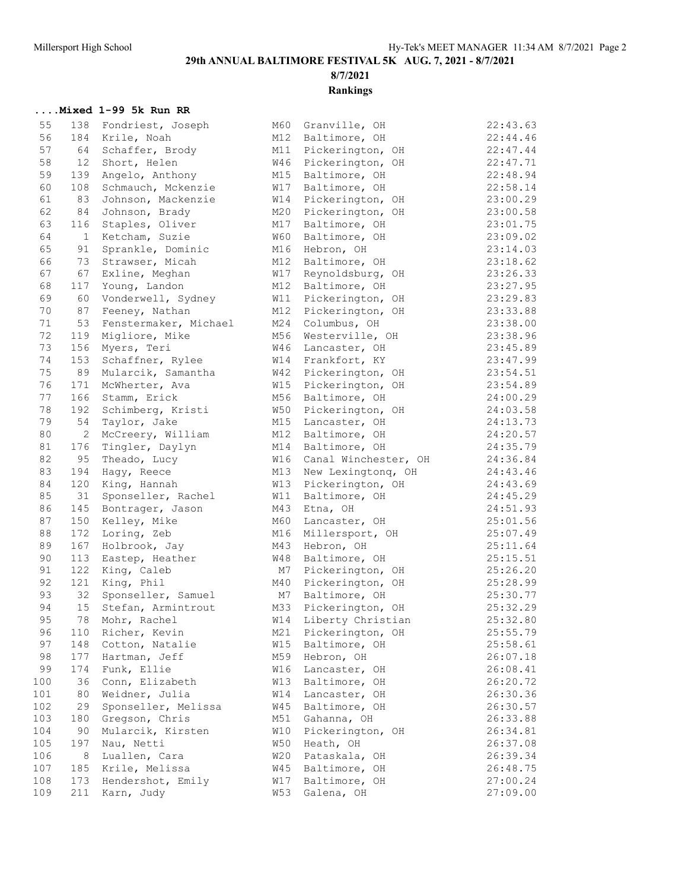**8/7/2021**

## **Rankings**

### **....Mixed 1-99 5k Run RR**

| 55  | 138               | Fondriest, Joseph     | M60        | Granville, OH          | 22:43.63 |
|-----|-------------------|-----------------------|------------|------------------------|----------|
| 56  | 184               | Krile, Noah           | M12        | Baltimore, OH          | 22:44.46 |
| 57  | 64                | Schaffer, Brody       | M11        | Pickerington, OH       | 22:47.44 |
| 58  | $12 \overline{ }$ | Short, Helen          | W46        | Pickerington, OH       | 22:47.71 |
| 59  | 139               | Angelo, Anthony       | M15        | Baltimore, OH          | 22:48.94 |
| 60  | 108               | Schmauch, Mckenzie    | W17        | Baltimore, OH          | 22:58.14 |
| 61  | 83                | Johnson, Mackenzie    | W14        | Pickerington, OH       | 23:00.29 |
| 62  | 84                | Johnson, Brady        | M20        | Pickerington, OH       | 23:00.58 |
| 63  | 116               | Staples, Oliver       | M17        | Baltimore, OH          | 23:01.75 |
| 64  | 1                 | Ketcham, Suzie        | W60        | Baltimore, OH          | 23:09.02 |
| 65  | 91                | Sprankle, Dominic     | M16        | Hebron, OH             | 23:14.03 |
| 66  | 73                | Strawser, Micah       | M12        | Baltimore, OH          | 23:18.62 |
| 67  | 67                | Exline, Meghan        | W17        | Reynoldsburg, OH       | 23:26.33 |
| 68  | 117               | Young, Landon         | M12        | Baltimore, OH          | 23:27.95 |
| 69  | 60                | Vonderwell, Sydney    | W11        | Pickerington, OH       | 23:29.83 |
| 70  | 87                | Feeney, Nathan        | M12        | Pickerington, OH       | 23:33.88 |
| 71  | 53                | Fenstermaker, Michael | M24        | Columbus, OH           | 23:38.00 |
| 72  | 119               | Migliore, Mike        | M56        | Westerville, OH        | 23:38.96 |
| 73  | 156               | Myers, Teri           | W46        | Lancaster, OH          | 23:45.89 |
| 74  | 153               | Schaffner, Rylee      | W14        | Frankfort, KY          | 23:47.99 |
| 75  | 89                | Mularcik, Samantha    | W42        | Pickerington, OH       | 23:54.51 |
| 76  | 171               | McWherter, Ava        | W15        | Pickerington, OH       | 23:54.89 |
| 77  | 166               | Stamm, Erick          | M56        | Baltimore, OH          | 24:00.29 |
| 78  | 192               | Schimberg, Kristi     | W50        | Pickerington, OH       | 24:03.58 |
| 79  | 54                | Taylor, Jake          | M15        | Lancaster, OH          | 24:13.73 |
| 80  | $\overline{c}$    | McCreery, William     | M12        | Baltimore, OH          | 24:20.57 |
| 81  | 176               | Tingler, Daylyn       | M14        | Baltimore, OH          | 24:35.79 |
| 82  | 95                | Theado, Lucy          | W16        | Canal Winchester, OH   | 24:36.84 |
| 83  | 194               | Hagy, Reece           |            | M13 New Lexingtonq, OH | 24:43.46 |
| 84  | 120               | King, Hannah          | W13        | Pickerington, OH       | 24:43.69 |
| 85  | 31                | Sponseller, Rachel    | W11        | Baltimore, OH          | 24:45.29 |
| 86  | 145               | Bontrager, Jason      | M43        | Etna, OH               | 24:51.93 |
| 87  | 150               | Kelley, Mike          | M60        | Lancaster, OH          | 25:01.56 |
| 88  | 172               | Loring, Zeb           | M16        | Millersport, OH        | 25:07.49 |
| 89  | 167               | Holbrook, Jay         | M43        | Hebron, OH             | 25:11.64 |
| 90  | 113               | Eastep, Heather       | W48        | Baltimore, OH          | 25:15.51 |
| 91  | 122               | King, Caleb           | М7         | Pickerington, OH       | 25:26.20 |
| 92  | 121               | King, Phil            | M40        | Pickerington, OH       | 25:28.99 |
| 93  | 32                | Sponseller, Samuel    | M7         | Baltimore, OH          | 25:30.77 |
| 94  | 15                | Stefan, Armintrout    | M33        | Pickerington, OH       | 25:32.29 |
| 95  | 78                | Mohr, Rachel          | W14        | Liberty Christian      | 25:32.80 |
| 96  | 110               | Richer, Kevin         | M21        | Pickerington, OH       | 25:55.79 |
| 97  |                   |                       | W15        |                        | 25:58.61 |
|     | 148               | Cotton, Natalie       |            | Baltimore, OH          |          |
| 98  | 177               | Hartman, Jeff         | M59        | Hebron, OH             | 26:07.18 |
| 99  | 174               | Funk, Ellie           | W16        | Lancaster, OH          | 26:08.41 |
| 100 | 36                | Conn, Elizabeth       | W13        | Baltimore, OH          | 26:20.72 |
| 101 | 80                | Weidner, Julia        | W14        | Lancaster, OH          | 26:30.36 |
| 102 | 29                | Sponseller, Melissa   | W45        | Baltimore, OH          | 26:30.57 |
| 103 | 180               | Gregson, Chris        | M51        | Gahanna, OH            | 26:33.88 |
| 104 | 90                | Mularcik, Kirsten     | W10        | Pickerington, OH       | 26:34.81 |
| 105 | 197               | Nau, Netti            | <b>W50</b> | Heath, OH              | 26:37.08 |
| 106 | 8                 | Luallen, Cara         | W20        | Pataskala, OH          | 26:39.34 |
| 107 | 185               | Krile, Melissa        | <b>W45</b> | Baltimore, OH          | 26:48.75 |
| 108 | 173               | Hendershot, Emily     | W17        | Baltimore, OH          | 27:00.24 |
| 109 | 211               | Karn, Judy            | <b>W53</b> | Galena, OH             | 27:09.00 |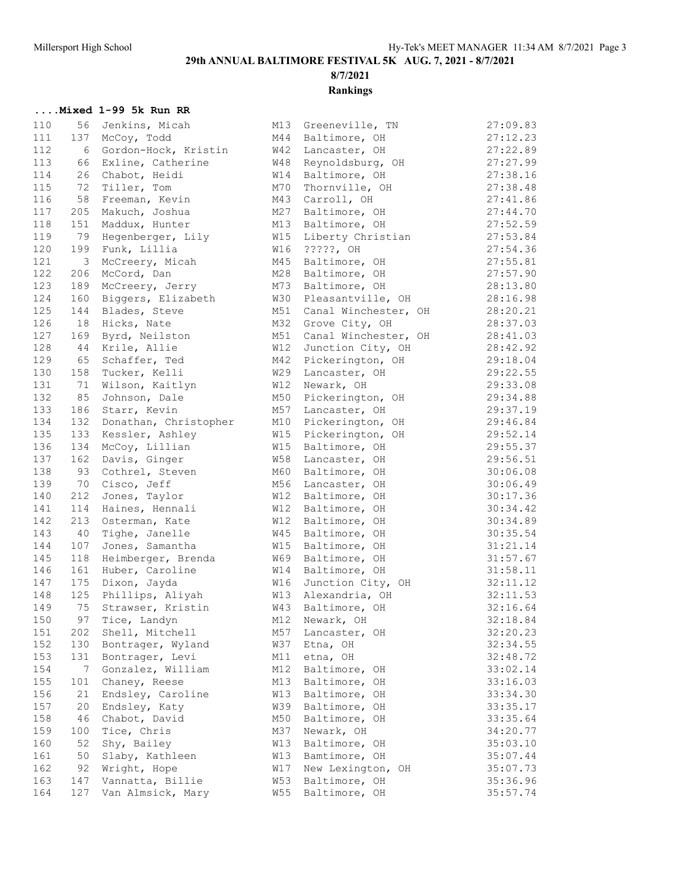# **8/7/2021**

## **Rankings**

### **....Mixed 1-99 5k Run RR**

| 110 | 56        | Jenkins, Micah        | M13        | Greeneville, TN                    | 27:09.83             |
|-----|-----------|-----------------------|------------|------------------------------------|----------------------|
| 111 | 137       | McCoy, Todd           | M44        | Baltimore, OH                      | 27:12.23             |
| 112 | 6         | Gordon-Hock, Kristin  | <b>W42</b> | Lancaster, OH                      | 27:22.89             |
| 113 | 66        | Exline, Catherine     | W48        | Reynoldsburg, OH                   | 27:27.99             |
| 114 | 26        | Chabot, Heidi         | W14        | Baltimore, OH                      | 27:38.16             |
| 115 | 72        | Tiller, Tom           | M70        | Thornville, OH                     | 27:38.48             |
| 116 | 58        | Freeman, Kevin        | M43        | Carroll, OH                        | 27:41.86             |
| 117 | 205       | Makuch, Joshua        | M27        | Baltimore, OH                      | 27:44.70             |
| 118 | 151       | Maddux, Hunter        | M13        | Baltimore, OH                      | 27:52.59             |
| 119 | 79        | Hegenberger, Lily     | W15        | Liberty Christian                  | 27:53.84             |
| 120 | 199       | Funk, Lillia          | W16        | ?????, OH                          | 27:54.36             |
| 121 | 3         | McCreery, Micah       | M45        | Baltimore, OH                      | 27:55.81             |
| 122 | 206       | McCord, Dan           | M28        | Baltimore, OH                      | 27:57.90             |
| 123 | 189       | McCreery, Jerry       | M73        | Baltimore, OH                      | 28:13.80             |
| 124 | 160       | Biggers, Elizabeth    | W30        | Pleasantville, OH                  | 28:16.98             |
| 125 | 144       | Blades, Steve         | M51        | Canal Winchester, OH               | 28:20.21             |
| 126 | 18        | Hicks, Nate           | M32        | Grove City, OH                     | 28:37.03             |
| 127 | 169       | Byrd, Neilston        | M51        | Canal Winchester, OH               | 28:41.03             |
| 128 | 44        | Krile, Allie          | W12        | Junction City, OH                  | 28:42.92             |
| 129 | 65        | Schaffer, Ted         | M42        | Pickerington, OH                   | 29:18.04             |
| 130 | 158       | Tucker, Kelli         | W29        | Lancaster, OH                      | 29:22.55             |
| 131 | 71        | Wilson, Kaitlyn       | W12        | Newark, OH                         | 29:33.08             |
| 132 | 85        | Johnson, Dale         | M50        | Pickerington, OH                   | 29:34.88             |
| 133 | 186       | Starr, Kevin          | M57        | Lancaster, OH                      | 29:37.19             |
| 134 | 132       | Donathan, Christopher | M10        | Pickerington, OH                   | 29:46.84             |
| 135 | 133       | Kessler, Ashley       | W15        | Pickerington, OH                   | 29:52.14             |
| 136 | 134       | McCoy, Lillian        | W15        | Baltimore, OH                      | 29:55.37             |
| 137 | 162       | Davis, Ginger         | W58        | Lancaster, OH                      | 29:56.51             |
| 138 | 93        | Cothrel, Steven       | M60        | Baltimore, OH                      | 30:06.08             |
| 139 | 70        | Cisco, Jeff           | M56        | Lancaster, OH                      | 30:06.49             |
| 140 | 212       | Jones, Taylor         | W12        | Baltimore, OH                      | 30:17.36             |
| 141 | 114       | Haines, Hennali       | <b>W12</b> | Baltimore, OH                      | 30:34.42             |
| 142 | 213       | Osterman, Kate        | <b>W12</b> | Baltimore, OH                      | 30:34.89             |
| 143 | 40        | Tighe, Janelle        | W45        | Baltimore, OH                      | 30:35.54             |
| 144 | 107       | Jones, Samantha       | W15        | Baltimore, OH                      | 31:21.14             |
| 145 | 118       | Heimberger, Brenda    | W69        | Baltimore, OH                      | 31:57.67             |
| 146 | 161       | Huber, Caroline       | W14        | Baltimore, OH                      | 31:58.11             |
| 147 | 175       | Dixon, Jayda          | <b>W16</b> | Junction City, OH                  | 32:11.12             |
| 148 | 125       | Phillips, Aliyah      | W13        | Alexandria, OH                     | 32:11.53             |
| 149 | 75        | Strawser, Kristin     | W43        | Baltimore, OH                      | 32:16.64             |
| 150 | 97        | Tice, Landyn          | M12        | Newark, OH                         | 32:18.84             |
| 151 | 202       | Shell, Mitchell       | M57        | Lancaster, OH                      | 32:20.23             |
| 152 | 130       | Bontrager, Wyland     | <b>W37</b> | Etna, OH                           | 32:34.55             |
| 153 | 131       | Bontrager, Levi       | M11        | etna, OH                           | 32:48.72             |
| 154 | 7         | Gonzalez, William     | M12        | Baltimore, OH                      | 33:02.14             |
| 155 | 101       | Chaney, Reese         | M13        | Baltimore, OH                      | 33:16.03             |
| 156 | 21        | Endsley, Caroline     | W13        | Baltimore, OH                      | 33:34.30             |
| 157 |           | Endsley, Katy         | W39        |                                    |                      |
| 158 | 20<br>46  | Chabot, David         | M50        | Baltimore, OH<br>Baltimore, OH     | 33:35.17<br>33:35.64 |
| 159 |           |                       | M37        | Newark, OH                         |                      |
| 160 | 100<br>52 | Tice, Chris           | W13        | Baltimore, OH                      | 34:20.77<br>35:03.10 |
| 161 | 50        | Shy, Bailey           | W13        | Bamtimore, OH                      | 35:07.44             |
| 162 |           | Slaby, Kathleen       | W17        |                                    | 35:07.73             |
| 163 | 92        | Wright, Hope          | <b>W53</b> | New Lexington, OH<br>Baltimore, OH | 35:36.96             |
|     | 147       | Vannatta, Billie      |            |                                    |                      |
| 164 | 127       | Van Almsick, Mary     | <b>W55</b> | Baltimore, OH                      | 35:57.74             |